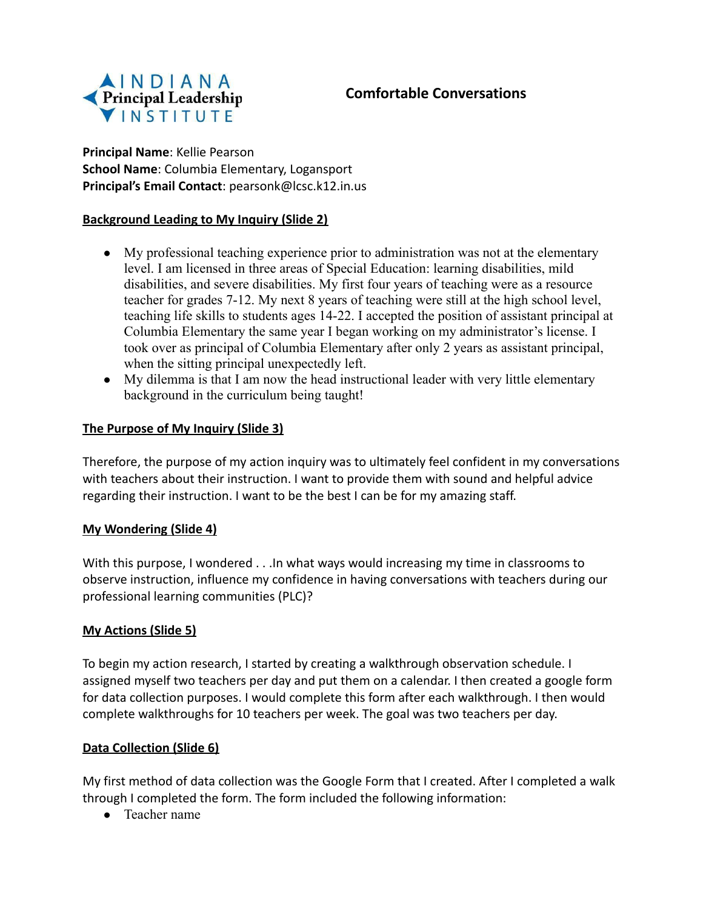

### **Comfortable Conversations**

**Principal Name**: Kellie Pearson **School Name**: Columbia Elementary, Logansport **Principal's Email Contact**: pearsonk@lcsc.k12.in.us

#### **Background Leading to My Inquiry (Slide 2)**

- My professional teaching experience prior to administration was not at the elementary level. I am licensed in three areas of Special Education: learning disabilities, mild disabilities, and severe disabilities. My first four years of teaching were as a resource teacher for grades 7-12. My next 8 years of teaching were still at the high school level, teaching life skills to students ages 14-22. I accepted the position of assistant principal at Columbia Elementary the same year I began working on my administrator's license. I took over as principal of Columbia Elementary after only 2 years as assistant principal, when the sitting principal unexpectedly left.
- My dilemma is that I am now the head instructional leader with very little elementary background in the curriculum being taught!

#### **The Purpose of My Inquiry (Slide 3)**

Therefore, the purpose of my action inquiry was to ultimately feel confident in my conversations with teachers about their instruction. I want to provide them with sound and helpful advice regarding their instruction. I want to be the best I can be for my amazing staff.

#### **My Wondering (Slide 4)**

With this purpose, I wondered . . . In what ways would increasing my time in classrooms to observe instruction, influence my confidence in having conversations with teachers during our professional learning communities (PLC)?

#### **My Actions (Slide 5)**

To begin my action research, I started by creating a walkthrough observation schedule. I assigned myself two teachers per day and put them on a calendar. I then created a google form for data collection purposes. I would complete this form after each walkthrough. I then would complete walkthroughs for 10 teachers per week. The goal was two teachers per day.

#### **Data Collection (Slide 6)**

My first method of data collection was the Google Form that I created. After I completed a walk through I completed the form. The form included the following information:

● Teacher name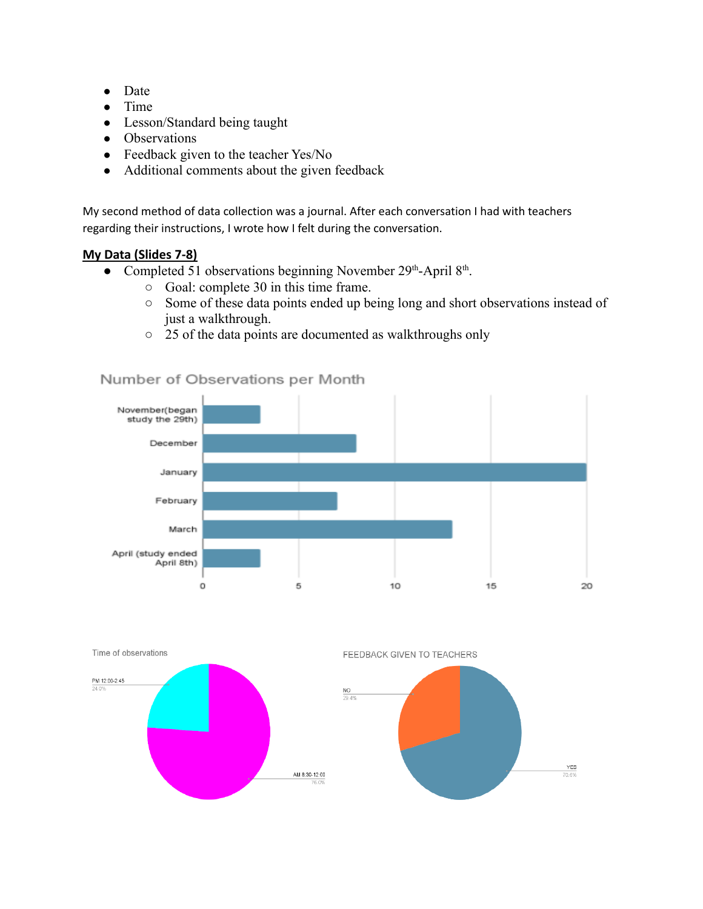- Date
- Time
- Lesson/Standard being taught
- Observations
- Feedback given to the teacher Yes/No
- Additional comments about the given feedback

My second method of data collection was a journal. After each conversation I had with teachers regarding their instructions, I wrote how I felt during the conversation.

### **My Data (Slides 7-8)**

- Completed 51 observations beginning November 29th-April 8th.
	- Goal: complete 30 in this time frame.
	- Some of these data points ended up being long and short observations instead of just a walkthrough.

20

○ 25 of the data points are documented as walkthroughs only



### Number of Observations per Month

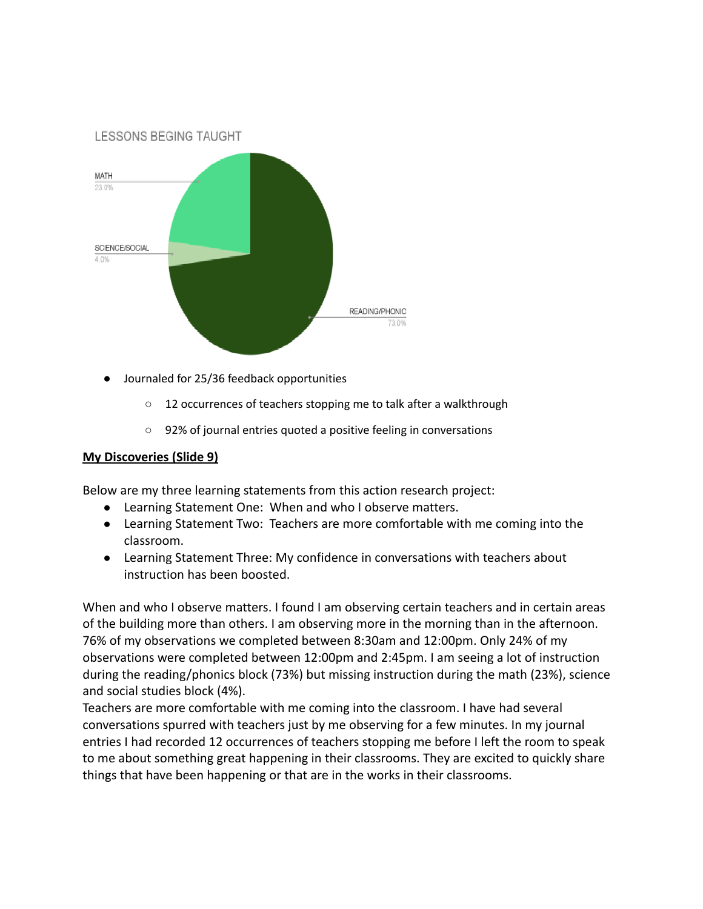

- Journaled for 25/36 feedback opportunities
	- 12 occurrences of teachers stopping me to talk after a walkthrough
	- 92% of journal entries quoted a positive feeling in conversations

#### **My Discoveries (Slide 9)**

Below are my three learning statements from this action research project:

- Learning Statement One: When and who I observe matters.
- Learning Statement Two: Teachers are more comfortable with me coming into the classroom.
- Learning Statement Three: My confidence in conversations with teachers about instruction has been boosted.

When and who I observe matters. I found I am observing certain teachers and in certain areas of the building more than others. I am observing more in the morning than in the afternoon. 76% of my observations we completed between 8:30am and 12:00pm. Only 24% of my observations were completed between 12:00pm and 2:45pm. I am seeing a lot of instruction during the reading/phonics block (73%) but missing instruction during the math (23%), science and social studies block (4%).

Teachers are more comfortable with me coming into the classroom. I have had several conversations spurred with teachers just by me observing for a few minutes. In my journal entries I had recorded 12 occurrences of teachers stopping me before I left the room to speak to me about something great happening in their classrooms. They are excited to quickly share things that have been happening or that are in the works in their classrooms.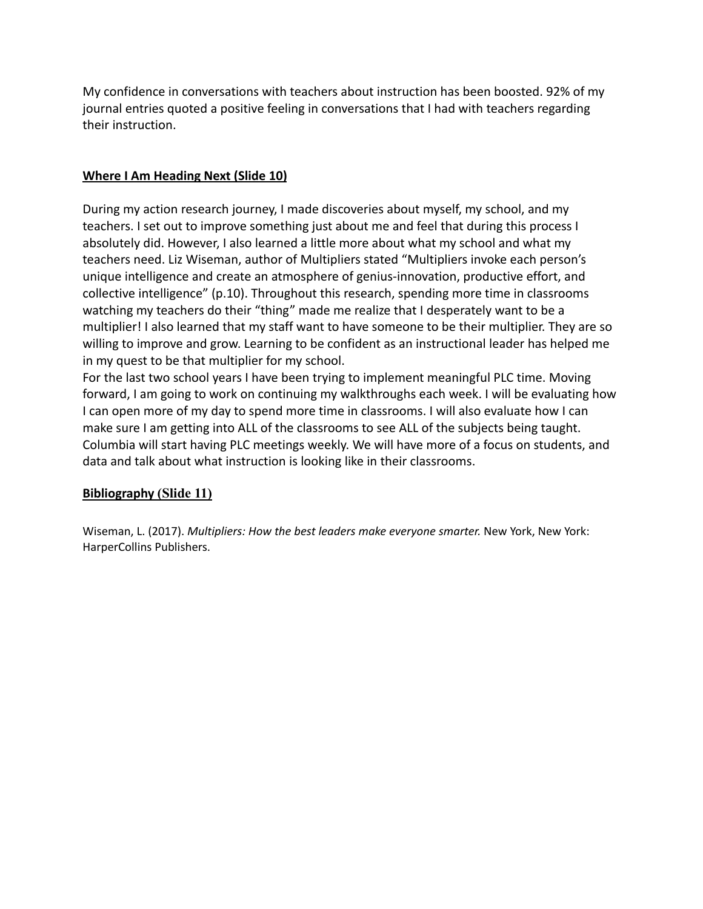My confidence in conversations with teachers about instruction has been boosted. 92% of my journal entries quoted a positive feeling in conversations that I had with teachers regarding their instruction.

### **Where I Am Heading Next (Slide 10)**

During my action research journey, I made discoveries about myself, my school, and my teachers. I set out to improve something just about me and feel that during this process I absolutely did. However, I also learned a little more about what my school and what my teachers need. Liz Wiseman, author of Multipliers stated "Multipliers invoke each person's unique intelligence and create an atmosphere of genius-innovation, productive effort, and collective intelligence" (p.10). Throughout this research, spending more time in classrooms watching my teachers do their "thing" made me realize that I desperately want to be a multiplier! I also learned that my staff want to have someone to be their multiplier. They are so willing to improve and grow. Learning to be confident as an instructional leader has helped me in my quest to be that multiplier for my school.

For the last two school years I have been trying to implement meaningful PLC time. Moving forward, I am going to work on continuing my walkthroughs each week. I will be evaluating how I can open more of my day to spend more time in classrooms. I will also evaluate how I can make sure I am getting into ALL of the classrooms to see ALL of the subjects being taught. Columbia will start having PLC meetings weekly. We will have more of a focus on students, and data and talk about what instruction is looking like in their classrooms.

### **Bibliography (Slide 11)**

Wiseman, L. (2017). *Multipliers: How the best leaders make everyone smarter.* New York, New York: HarperCollins Publishers.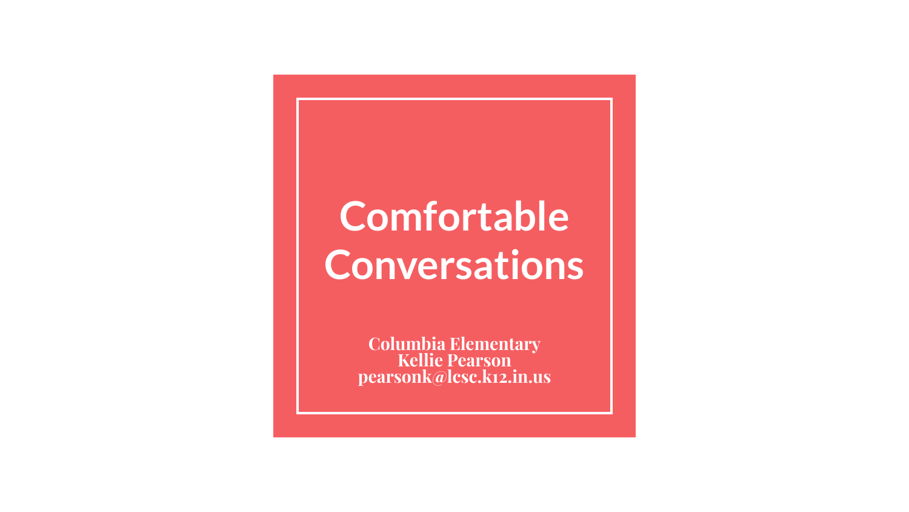# **Comfortable Conversations**

**Columbia Elementary Kellie Pearson pearsonk@lcsc.k12.in.us**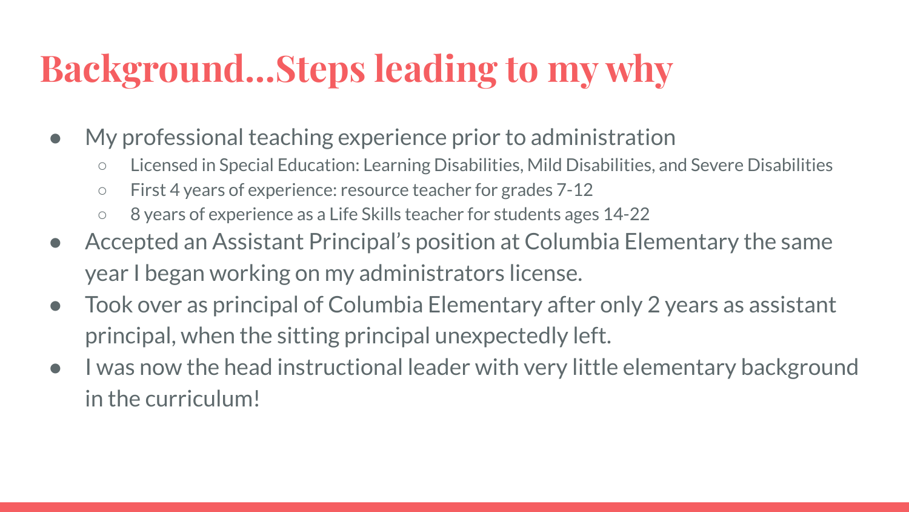## **Background…Steps leading to my why**

- My professional teaching experience prior to administration
	- Licensed in Special Education: Learning Disabilities, Mild Disabilities, and Severe Disabilities
	- First 4 years of experience: resource teacher for grades 7-12
	- 8 years of experience as a Life Skills teacher for students ages 14-22
- Accepted an Assistant Principal's position at Columbia Elementary the same year I began working on my administrators license.
- Took over as principal of Columbia Elementary after only 2 years as assistant principal, when the sitting principal unexpectedly left.
- I was now the head instructional leader with very little elementary background in the curriculum!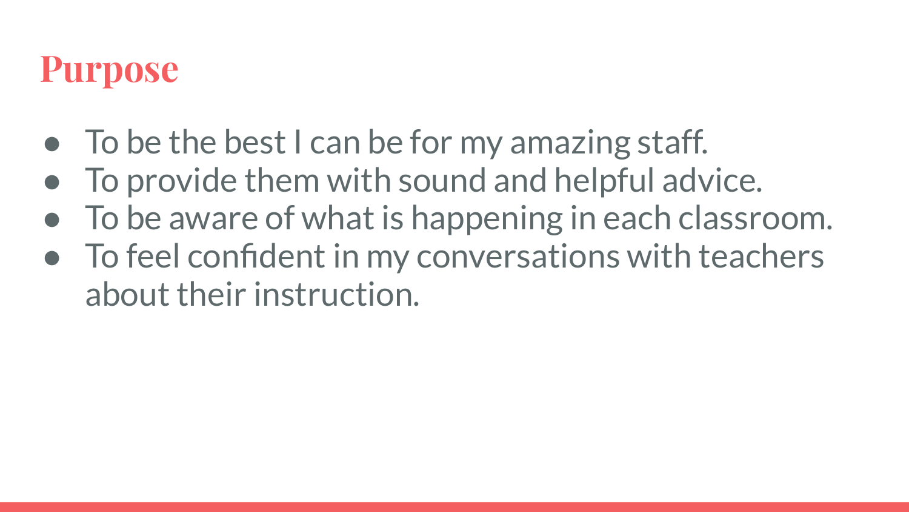### **Purpose**

- To be the best I can be for my amazing staff.
- To provide them with sound and helpful advice.
- To be aware of what is happening in each classroom.
- To feel confident in my conversations with teachers about their instruction.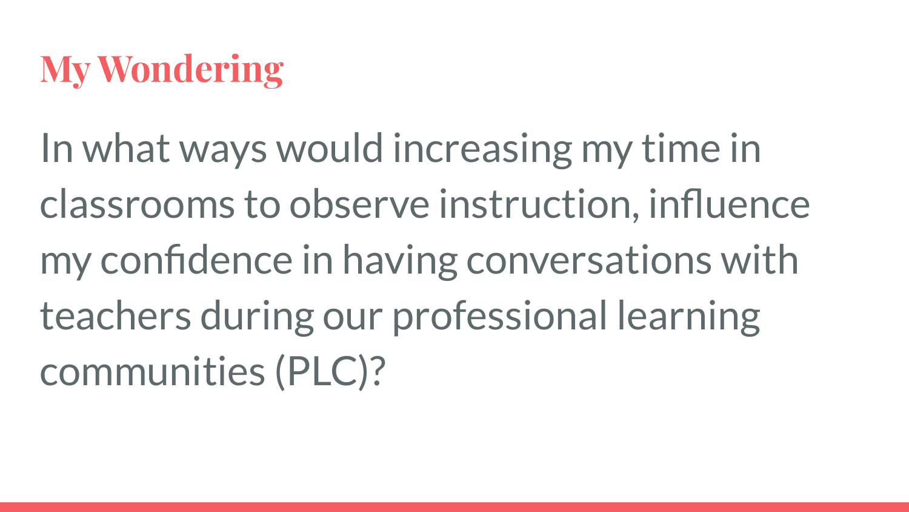### **My Wondering**

In what ways would increasing my time in classrooms to observe instruction, influence my confidence in having conversations with teachers during our professional learning communities (PLC)?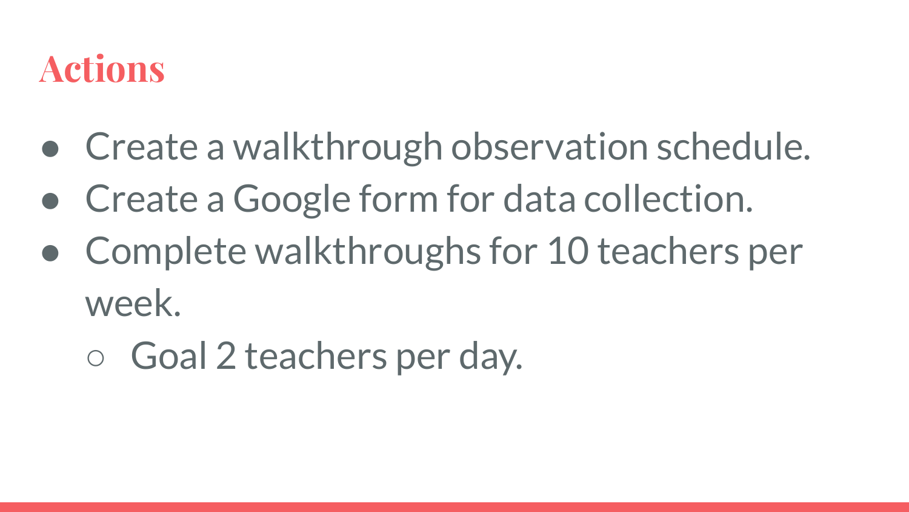### **Actions**

- Create a walkthrough observation schedule.
- Create a Google form for data collection.
- Complete walkthroughs for 10 teachers per week.
	- Goal 2 teachers per day.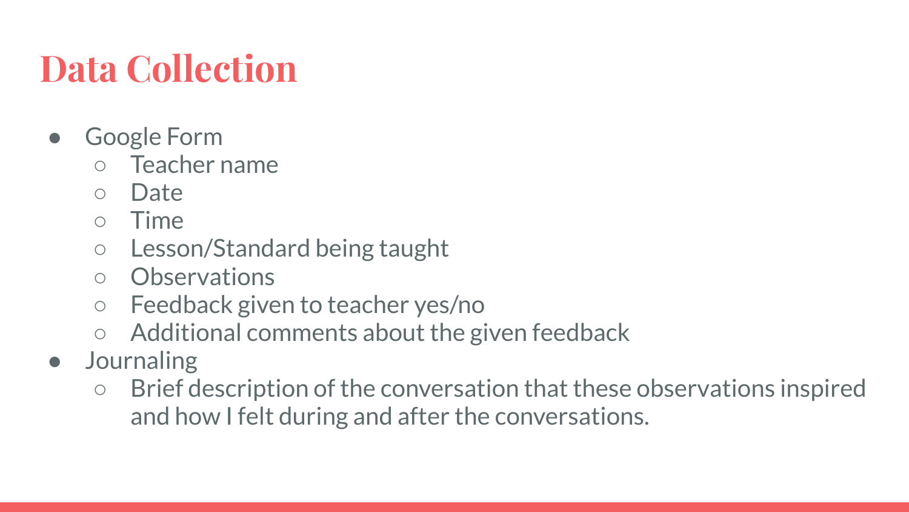# **Data Collection**

- **Google Form** 
	- Teacher name
	- Date
	- Time
	- Lesson/Standard being taught
	- Observations
	- Feedback given to teacher yes/no
	- Additional comments about the given feedback
- **Journaling** 
	- Brief description of the conversation that these observations inspired and how I felt during and after the conversations.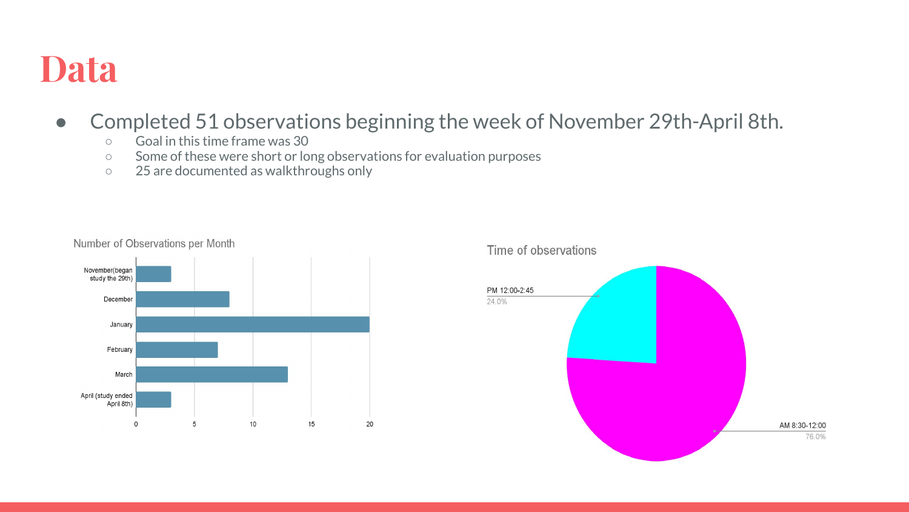### **Data**

### ● Completed 51 observations beginning the week of November 29th-April 8th.

- Goal in this time frame was 30
- Some of these were short or long observations for evaluation purposes
- 25 are documented as walkthroughs only



#### Time of observations

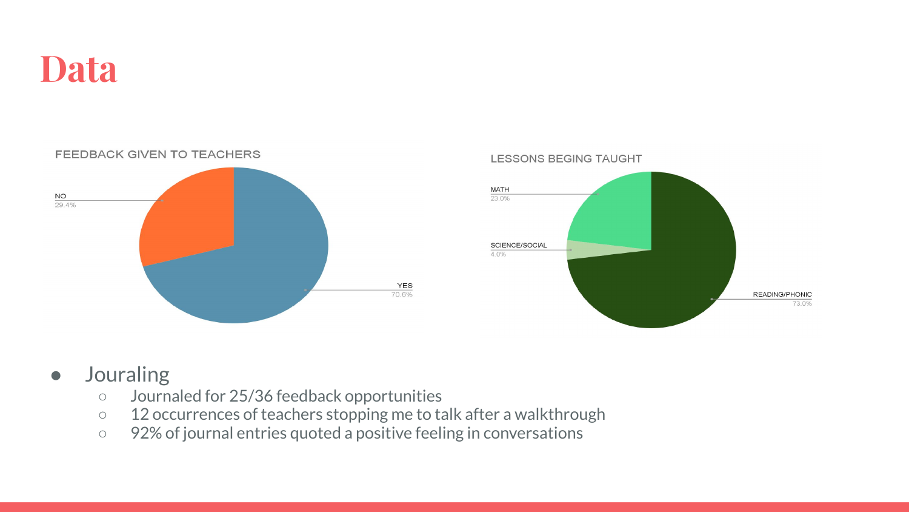





### ● Jouraling

- Journaled for 25/36 feedback opportunities
- 12 occurrences of teachers stopping me to talk after a walkthrough
- 92% of journal entries quoted a positive feeling in conversations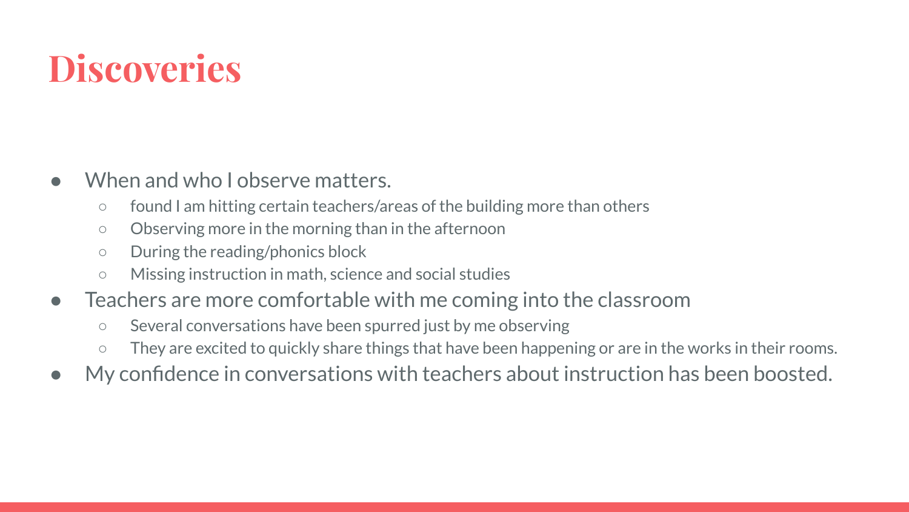### **Discoveries**

- When and who I observe matters.
	- found I am hitting certain teachers/areas of the building more than others
	- Observing more in the morning than in the afternoon
	- During the reading/phonics block
	- Missing instruction in math, science and social studies
- Teachers are more comfortable with me coming into the classroom
	- Several conversations have been spurred just by me observing
	- They are excited to quickly share things that have been happening or are in the works in their rooms.
- My confidence in conversations with teachers about instruction has been boosted.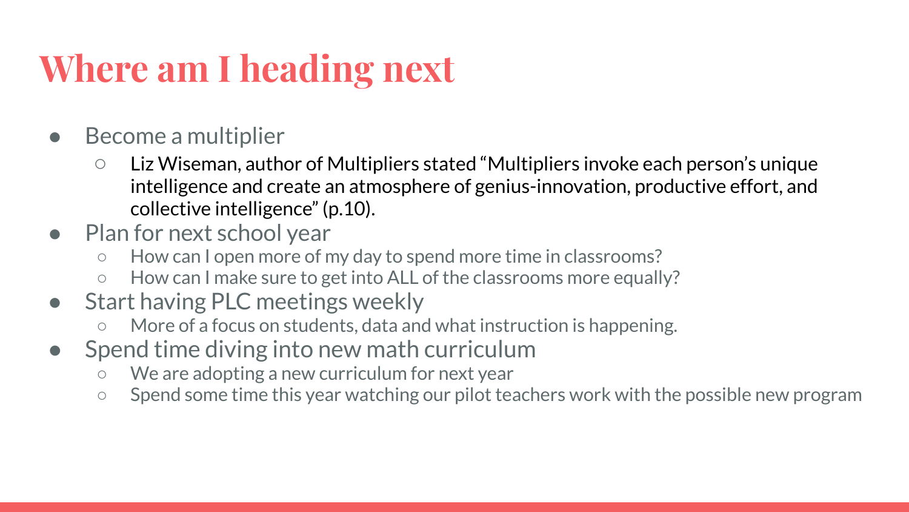## **Where am I heading next**

- Become a multiplier
	- Liz Wiseman, author of Multipliers stated "Multipliers invoke each person's unique intelligence and create an atmosphere of genius-innovation, productive effort, and collective intelligence" (p.10).
- Plan for next school year
	- How can I open more of my day to spend more time in classrooms?
	- How can I make sure to get into ALL of the classrooms more equally?
- Start having PLC meetings weekly
	- More of a focus on students, data and what instruction is happening.
- Spend time diving into new math curriculum
	- We are adopting a new curriculum for next year
	- Spend some time this year watching our pilot teachers work with the possible new program